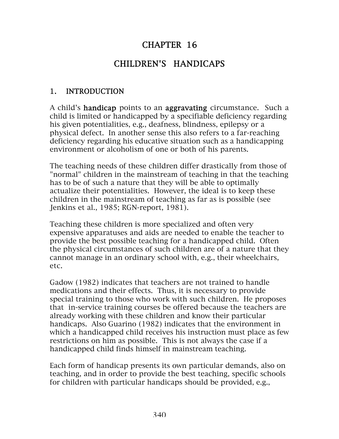# CHAPTER 16

# CHILDREN'S HANDICAPS

#### 1. INTRODUCTION

A child's **handicap** points to an **aggravating** circumstance. Such a child is limited or handicapped by a specifiable deficiency regarding his given potentialities, e.g., deafness, blindness, epilepsy or a physical defect. In another sense this also refers to a far-reaching deficiency regarding his educative situation such as a handicapping environment or alcoholism of one or both of his parents.

The teaching needs of these children differ drastically from those of "normal" children in the mainstream of teaching in that the teaching has to be of such a nature that they will be able to optimally actualize their potentialities. However, the ideal is to keep these children in the mainstream of teaching as far as is possible (see Jenkins et al., 1985; RGN-report, 1981).

Teaching these children is more specialized and often very expensive apparatuses and aids are needed to enable the teacher to provide the best possible teaching for a handicapped child. Often the physical circumstances of such children are of a nature that they cannot manage in an ordinary school with, e.g., their wheelchairs, etc.

Gadow (1982) indicates that teachers are not trained to handle medications and their effects. Thus, it is necessary to provide special training to those who work with such children. He proposes that in-service training courses be offered because the teachers are already working with these children and know their particular handicaps. Also Guarino (1982) indicates that the environment in which a handicapped child receives his instruction must place as few restrictions on him as possible. This is not always the case if a handicapped child finds himself in mainstream teaching.

Each form of handicap presents its own particular demands, also on teaching, and in order to provide the best teaching, specific schools for children with particular handicaps should be provided, e.g.,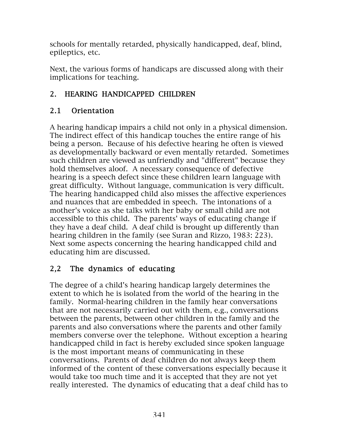schools for mentally retarded, physically handicapped, deaf, blind, epileptics, etc.

Next, the various forms of handicaps are discussed along with their implications for teaching.

# 2. HEARING HANDICAPPED CHILDREN

## 2.1 Orientation

A hearing handicap impairs a child not only in a physical dimension. The indirect effect of this handicap touches the entire range of his being a person. Because of his defective hearing he often is viewed as developmentally backward or even mentally retarded. Sometimes such children are viewed as unfriendly and "different" because they hold themselves aloof. A necessary consequence of defective hearing is a speech defect since these children learn language with great difficulty. Without language, communication is very difficult. The hearing handicapped child also misses the affective experiences and nuances that are embedded in speech. The intonations of a mother's voice as she talks with her baby or small child are not accessible to this child. The parents' ways of educating change if they have a deaf child. A deaf child is brought up differently than hearing children in the family (see Suran and Rizzo, 1983: 223). Next some aspects concerning the hearing handicapped child and educating him are discussed.

## 2,2 The dynamics of educating

The degree of a child's hearing handicap largely determines the extent to which he is isolated from the world of the hearing in the family. Normal-hearing children in the family hear conversations that are not necessarily carried out with them, e.g., conversations between the parents, between other children in the family and the parents and also conversations where the parents and other family members converse over the telephone. Without exception a hearing handicapped child in fact is hereby excluded since spoken language is the most important means of communicating in these conversations. Parents of deaf children do not always keep them informed of the content of these conversations especially because it would take too much time and it is accepted that they are not yet really interested. The dynamics of educating that a deaf child has to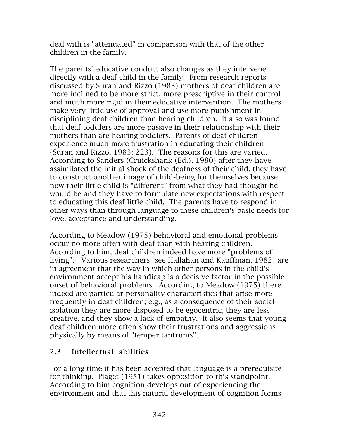deal with is "attenuated" in comparison with that of the other children in the family.

The parents' educative conduct also changes as they intervene directly with a deaf child in the family. From research reports discussed by Suran and Rizzo (1983) mothers of deaf children are more inclined to be more strict, more prescriptive in their control and much more rigid in their educative intervention. The mothers make very little use of approval and use more punishment in disciplining deaf children than hearing children. It also was found that deaf toddlers are more passive in their relationship with their mothers than are hearing toddlers. Parents of deaf children experience much more frustration in educating their children (Suran and Rizzo, 1983: 223). The reasons for this are varied. According to Sanders (Cruickshank (Ed.), 1980) after they have assimilated the initial shock of the deafness of their child, they have to construct another image of child-being for themselves because now their little child is "different" from what they had thought he would be and they have to formulate new expectations with respect to educating this deaf little child. The parents have to respond in other ways than through language to these children's basic needs for love, acceptance and understanding.

According to Meadow (1975) behavioral and emotional problems occur no more often with deaf than with hearing children. According to him, deaf children indeed have more "problems of living". Various researchers (see Hallahan and Kauffman, 1982) are in agreement that the way in which other persons in the child's environment accept his handicap is a decisive factor in the possible onset of behavioral problems. According to Meadow (1975) there indeed are particular personality characteristics that arise more frequently in deaf children; e.g., as a consequence of their social isolation they are more disposed to be egocentric, they are less creative, and they show a lack of empathy. It also seems that young deaf children more often show their frustrations and aggressions physically by means of "temper tantrums".

#### 2.3 Intellectual abilities

For a long time it has been accepted that language is a prerequisite for thinking. Piaget (1951) takes opposition to this standpoint. According to him cognition develops out of experiencing the environment and that this natural development of cognition forms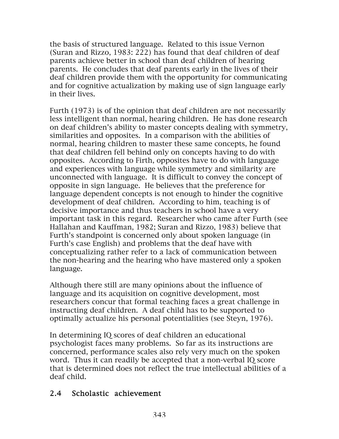the basis of structured language. Related to this issue Vernon (Suran and Rizzo, 1983: 222) has found that deaf children of deaf parents achieve better in school than deaf children of hearing parents. He concludes that deaf parents early in the lives of their deaf children provide them with the opportunity for communicating and for cognitive actualization by making use of sign language early in their lives.

Furth (1973) is of the opinion that deaf children are not necessarily less intelligent than normal, hearing children. He has done research on deaf children's ability to master concepts dealing with symmetry, similarities and opposites. In a comparison with the abilities of normal, hearing children to master these same concepts, he found that deaf children fell behind only on concepts having to do with opposites. According to Firth, opposites have to do with language and experiences with language while symmetry and similarity are unconnected with language. It is difficult to convey the concept of opposite in sign language. He believes that the preference for language dependent concepts is not enough to hinder the cognitive development of deaf children. According to him, teaching is of decisive importance and thus teachers in school have a very important task in this regard. Researcher who came after Furth (see Hallahan and Kauffman, 1982; Suran and Rizzo, 1983) believe that Furth's standpoint is concerned only about spoken language (in Furth's case English) and problems that the deaf have with conceptualizing rather refer to a lack of communication between the non-hearing and the hearing who have mastered only a spoken language.

Although there still are many opinions about the influence of language and its acquisition on cognitive development, most researchers concur that formal teaching faces a great challenge in instructing deaf children. A deaf child has to be supported to optimally actualize his personal potentialities (see Steyn, 1976).

In determining IQ scores of deaf children an educational psychologist faces many problems. So far as its instructions are concerned, performance scales also rely very much on the spoken word. Thus it can readily be accepted that a non-verbal IQ score that is determined does not reflect the true intellectual abilities of a deaf child.

#### 2.4 Scholastic achievement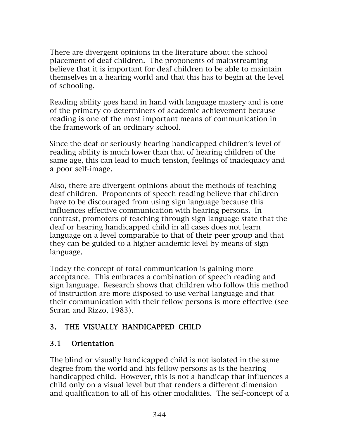There are divergent opinions in the literature about the school placement of deaf children. The proponents of mainstreaming believe that it is important for deaf children to be able to maintain themselves in a hearing world and that this has to begin at the level of schooling.

Reading ability goes hand in hand with language mastery and is one of the primary co-determiners of academic achievement because reading is one of the most important means of communication in the framework of an ordinary school.

Since the deaf or seriously hearing handicapped children's level of reading ability is much lower than that of hearing children of the same age, this can lead to much tension, feelings of inadequacy and a poor self-image.

Also, there are divergent opinions about the methods of teaching deaf children. Proponents of speech reading believe that children have to be discouraged from using sign language because this influences effective communication with hearing persons. In contrast, promoters of teaching through sign language state that the deaf or hearing handicapped child in all cases does not learn language on a level comparable to that of their peer group and that they can be guided to a higher academic level by means of sign language.

Today the concept of total communication is gaining more acceptance. This embraces a combination of speech reading and sign language. Research shows that children who follow this method of instruction are more disposed to use verbal language and that their communication with their fellow persons is more effective (see Suran and Rizzo, 1983).

## 3. THE VISUALLY HANDICAPPED CHILD

#### 3.1 Orientation

The blind or visually handicapped child is not isolated in the same degree from the world and his fellow persons as is the hearing handicapped child. However, this is not a handicap that influences a child only on a visual level but that renders a different dimension and qualification to all of his other modalities. The self-concept of a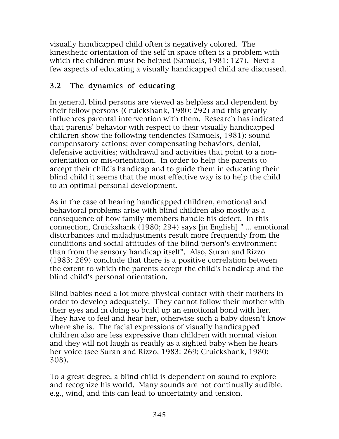visually handicapped child often is negatively colored. The kinesthetic orientation of the self in space often is a problem with which the children must be helped (Samuels, 1981: 127). Next a few aspects of educating a visually handicapped child are discussed.

# 3.2 The dynamics of educating

In general, blind persons are viewed as helpless and dependent by their fellow persons (Cruickshank, 1980: 292) and this greatly influences parental intervention with them. Research has indicated that parents' behavior with respect to their visually handicapped children show the following tendencies (Samuels, 1981): sound compensatory actions; over-compensating behaviors, denial, defensive activities; withdrawal and activities that point to a nonorientation or mis-orientation. In order to help the parents to accept their child's handicap and to guide them in educating their blind child it seems that the most effective way is to help the child to an optimal personal development.

As in the case of hearing handicapped children, emotional and behavioral problems arise with blind children also mostly as a consequence of how family members handle his defect. In this connection, Cruickshank (1980; 294) says [in English] " ... emotional disturbances and maladjustments result more frequently from the conditions and social attitudes of the blind person's environment than from the sensory handicap itself". Also, Suran and Rizzo (1983: 269) conclude that there is a positive correlation between the extent to which the parents accept the child's handicap and the blind child's personal orientation.

Blind babies need a lot more physical contact with their mothers in order to develop adequately. They cannot follow their mother with their eyes and in doing so build up an emotional bond with her. They have to feel and hear her, otherwise such a baby doesn't know where she is. The facial expressions of visually handicapped children also are less expressive than children with normal vision and they will not laugh as readily as a sighted baby when he hears her voice (see Suran and Rizzo, 1983: 269; Cruickshank, 1980: 308).

To a great degree, a blind child is dependent on sound to explore and recognize his world. Many sounds are not continually audible, e.g., wind, and this can lead to uncertainty and tension.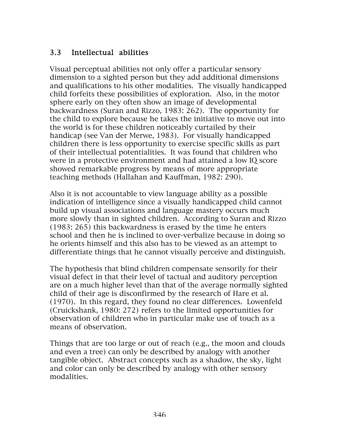## 3.3 Intellectual abilities

Visual perceptual abilities not only offer a particular sensory dimension to a sighted person but they add additional dimensions and qualifications to his other modalities. The visually handicapped child forfeits these possibilities of exploration. Also, in the motor sphere early on they often show an image of developmental backwardness (Suran and Rizzo, 1983: 262). The opportunity for the child to explore because he takes the initiative to move out into the world is for these children noticeably curtailed by their handicap (see Van der Merwe, 1983). For visually handicapped children there is less opportunity to exercise specific skills as part of their intellectual potentialities. It was found that children who were in a protective environment and had attained a low IQ score showed remarkable progress by means of more appropriate teaching methods (Hallahan and Kauffman, 1982: 290).

Also it is not accountable to view language ability as a possible indication of intelligence since a visually handicapped child cannot build up visual associations and language mastery occurs much more slowly than in sighted children. According to Suran and Rizzo (1983: 265) this backwardness is erased by the time he enters school and then he is inclined to over-verbalize because in doing so he orients himself and this also has to be viewed as an attempt to differentiate things that he cannot visually perceive and distinguish.

The hypothesis that blind children compensate sensorily for their visual defect in that their level of tactual and auditory perception are on a much higher level than that of the average normally sighted child of their age is disconfirmed by the research of Hare et al. (1970). In this regard, they found no clear differences. Lowenfeld (Cruickshank, 1980: 272) refers to the limited opportunities for observation of children who in particular make use of touch as a means of observation.

Things that are too large or out of reach (e.g., the moon and clouds and even a tree) can only be described by analogy with another tangible object. Abstract concepts such as a shadow, the sky, light and color can only be described by analogy with other sensory modalities.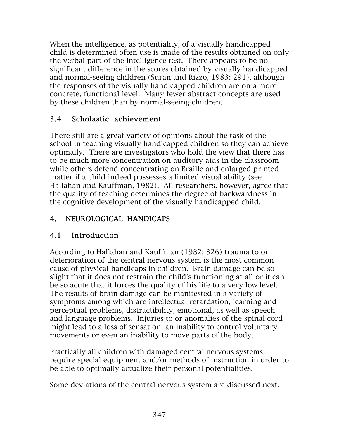When the intelligence, as potentiality, of a visually handicapped child is determined often use is made of the results obtained on only the verbal part of the intelligence test. There appears to be no significant difference in the scores obtained by visually handicapped and normal-seeing children (Suran and Rizzo, 1983: 291), although the responses of the visually handicapped children are on a more concrete, functional level. Many fewer abstract concepts are used by these children than by normal-seeing children.

#### 3.4 Scholastic achievement

There still are a great variety of opinions about the task of the school in teaching visually handicapped children so they can achieve optimally. There are investigators who hold the view that there has to be much more concentration on auditory aids in the classroom while others defend concentrating on Braille and enlarged printed matter if a child indeed possesses a limited visual ability (see Hallahan and Kauffman, 1982). All researchers, however, agree that the quality of teaching determines the degree of backwardness in the cognitive development of the visually handicapped child.

# 4. NEUROLOGICAL HANDICAPS

## 4.1 Introduction

According to Hallahan and Kauffman (1982: 326) trauma to or deterioration of the central nervous system is the most common cause of physical handicaps in children. Brain damage can be so slight that it does not restrain the child's functioning at all or it can be so acute that it forces the quality of his life to a very low level. The results of brain damage can be manifested in a variety of symptoms among which are intellectual retardation, learning and perceptual problems, distractibility, emotional, as well as speech and language problems. Injuries to or anomalies of the spinal cord might lead to a loss of sensation, an inability to control voluntary movements or even an inability to move parts of the body.

Practically all children with damaged central nervous systems require special equipment and/or methods of instruction in order to be able to optimally actualize their personal potentialities.

Some deviations of the central nervous system are discussed next.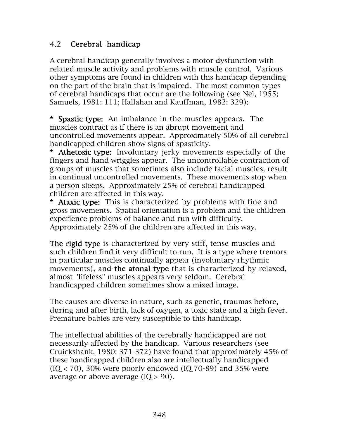#### 4.2 Cerebral handicap

A cerebral handicap generally involves a motor dysfunction with related muscle activity and problems with muscle control. Various other symptoms are found in children with this handicap depending on the part of the brain that is impaired. The most common types of cerebral handicaps that occur are the following (see Nel, 1955; Samuels, 1981: 111; Hallahan and Kauffman, 1982: 329):

\* Spastic type: An imbalance in the muscles appears. The muscles contract as if there is an abrupt movement and uncontrolled movements appear. Approximately 50% of all cerebral handicapped children show signs of spasticity.

\* Athetosic type: Involuntary jerky movements especially of the fingers and hand wriggles appear. The uncontrollable contraction of groups of muscles that sometimes also include facial muscles, result in continual uncontrolled movements. These movements stop when a person sleeps. Approximately 25% of cerebral handicapped children are affected in this way.

\* Ataxic type: This is characterized by problems with fine and gross movements. Spatial orientation is a problem and the children experience problems of balance and run with difficulty. Approximately 25% of the children are affected in this way.

The rigid type is characterized by very stiff, tense muscles and such children find it very difficult to run. It is a type where tremors in particular muscles continually appear (involuntary rhythmic movements), and the atonal type that is characterized by relaxed, almost "lifeless" muscles appears very seldom. Cerebral handicapped children sometimes show a mixed image.

The causes are diverse in nature, such as genetic, traumas before, during and after birth, lack of oxygen, a toxic state and a high fever. Premature babies are very susceptible to this handicap.

The intellectual abilities of the cerebrally handicapped are not necessarily affected by the handicap. Various researchers (see Cruickshank, 1980: 371-372) have found that approximately 45% of these handicapped children also are intellectually handicapped  $(IQ < 70)$ , 30% were poorly endowed  $(IQ 70-89)$  and 35% were average or above average  $(IO > 90)$ .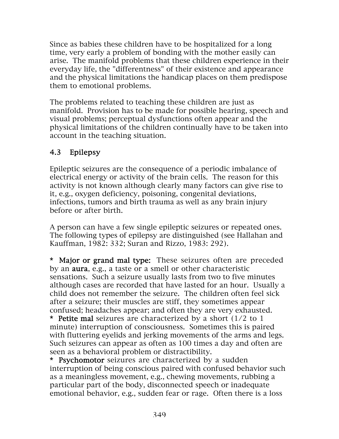Since as babies these children have to be hospitalized for a long time, very early a problem of bonding with the mother easily can arise. The manifold problems that these children experience in their everyday life, the "differentness" of their existence and appearance and the physical limitations the handicap places on them predispose them to emotional problems.

The problems related to teaching these children are just as manifold. Provision has to be made for possible hearing, speech and visual problems; perceptual dysfunctions often appear and the physical limitations of the children continually have to be taken into account in the teaching situation.

# 4.3 Epilepsy

Epileptic seizures are the consequence of a periodic imbalance of electrical energy or activity of the brain cells. The reason for this activity is not known although clearly many factors can give rise to it, e.g., oxygen deficiency, poisoning, congenital deviations, infections, tumors and birth trauma as well as any brain injury before or after birth.

A person can have a few single epileptic seizures or repeated ones. The following types of epilepsy are distinguished (see Hallahan and Kauffman, 1982: 332; Suran and Rizzo, 1983: 292).

\* Major or grand mal type: These seizures often are preceded by an aura, e.g., a taste or a smell or other characteristic sensations. Such a seizure usually lasts from two to five minutes although cases are recorded that have lasted for an hour. Usually a child does not remember the seizure. The children often feel sick after a seizure; their muscles are stiff, they sometimes appear confused; headaches appear; and often they are very exhausted. \* Petite mal seizures are characterized by a short  $(1/2 \text{ to } 1)$ minute) interruption of consciousness. Sometimes this is paired with fluttering eyelids and jerking movements of the arms and legs. Such seizures can appear as often as 100 times a day and often are seen as a behavioral problem or distractibility.

\* Psychomotor seizures are characterized by a sudden interruption of being conscious paired with confused behavior such as a meaningless movement, e.g., chewing movements, rubbing a particular part of the body, disconnected speech or inadequate emotional behavior, e.g., sudden fear or rage. Often there is a loss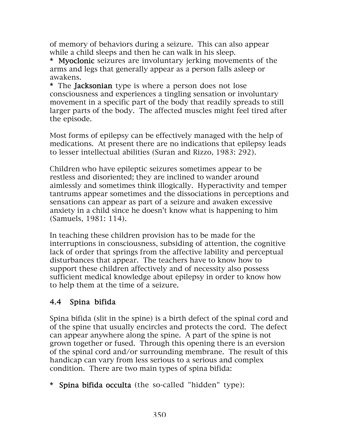of memory of behaviors during a seizure. This can also appear while a child sleeps and then he can walk in his sleep.

\* Myoclonic seizures are involuntary jerking movements of the arms and legs that generally appear as a person falls asleep or awakens.

\* The Jacksonian type is where a person does not lose consciousness and experiences a tingling sensation or involuntary movement in a specific part of the body that readily spreads to still larger parts of the body. The affected muscles might feel tired after the episode.

Most forms of epilepsy can be effectively managed with the help of medications. At present there are no indications that epilepsy leads to lesser intellectual abilities (Suran and Rizzo, 1983: 292).

Children who have epileptic seizures sometimes appear to be restless and disoriented; they are inclined to wander around aimlessly and sometimes think illogically. Hyperactivity and temper tantrums appear sometimes and the dissociations in perceptions and sensations can appear as part of a seizure and awaken excessive anxiety in a child since he doesn't know what is happening to him (Samuels, 1981: 114).

In teaching these children provision has to be made for the interruptions in consciousness, subsiding of attention, the cognitive lack of order that springs from the affective lability and perceptual disturbances that appear. The teachers have to know how to support these children affectively and of necessity also possess sufficient medical knowledge about epilepsy in order to know how to help them at the time of a seizure.

## 4.4 Spina bifida

Spina bifida (slit in the spine) is a birth defect of the spinal cord and of the spine that usually encircles and protects the cord. The defect can appear anywhere along the spine. A part of the spine is not grown together or fused. Through this opening there is an eversion of the spinal cord and/or surrounding membrane. The result of this handicap can vary from less serious to a serious and complex condition. There are two main types of spina bifida:

\* Spina bifida occulta (the so-called "hidden" type):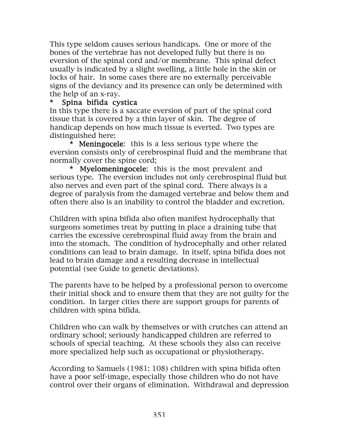This type seldom causes serious handicaps. One or more of the bones of the vertebrae has not developed fully but there is no eversion of the spinal cord and/or membrane. This spinal defect usually is indicated by a slight swelling, a little hole in the skin or locks of hair. In some cases there are no externally perceivable signs of the deviancy and its presence can only be determined with the help of an x-ray.

#### Spina bifida cystica

In this type there is a saccate eversion of part of the spinal cord tissue that is covered by a thin layer of skin. The degree of handicap depends on how much tissue is everted. Two types are distinguished here:

\* Meningocele: this is a less serious type where the eversion consists only of cerebrospinal fluid and the membrane that normally cover the spine cord;

\* Myelomeningocele: this is the most prevalent and serious type. The eversion includes not only cerebrospinal fluid but also nerves and even part of the spinal cord. There always is a degree of paralysis from the damaged vertebrae and below them and often there also is an inability to control the bladder and excretion.

Children with spina bifida also often manifest hydrocephally that surgeons sometimes treat by putting in place a draining tube that carries the excessive cerebrospinal fluid away from the brain and into the stomach. The condition of hydrocephally and other related conditions can lead to brain damage. In itself, spina bifida does not lead to brain damage and a resulting decrease in intellectual potential (see Guide to genetic deviations).

The parents have to be helped by a professional person to overcome their initial shock and to ensure them that they are not guilty for the condition. In larger cities there are support groups for parents of children with spina bifida.

Children who can walk by themselves or with crutches can attend an ordinary school; seriously handicapped children are referred to schools of special teaching. At these schools they also can receive more specialized help such as occupational or physiotherapy.

According to Samuels (1981: 108) children with spina bifida often have a poor self-image, especially those children who do not have control over their organs of elimination. Withdrawal and depression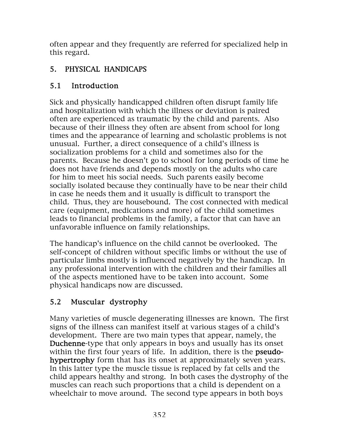often appear and they frequently are referred for specialized help in this regard.

# 5. PHYSICAL HANDICAPS

# 5.1 Introduction

Sick and physically handicapped children often disrupt family life and hospitalization with which the illness or deviation is paired often are experienced as traumatic by the child and parents. Also because of their illness they often are absent from school for long times and the appearance of learning and scholastic problems is not unusual. Further, a direct consequence of a child's illness is socialization problems for a child and sometimes also for the parents. Because he doesn't go to school for long periods of time he does not have friends and depends mostly on the adults who care for him to meet his social needs. Such parents easily become socially isolated because they continually have to be near their child in case he needs them and it usually is difficult to transport the child. Thus, they are housebound. The cost connected with medical care (equipment, medications and more) of the child sometimes leads to financial problems in the family, a factor that can have an unfavorable influence on family relationships.

The handicap's influence on the child cannot be overlooked. The self-concept of children without specific limbs or without the use of particular limbs mostly is influenced negatively by the handicap. In any professional intervention with the children and their families all of the aspects mentioned have to be taken into account. Some physical handicaps now are discussed.

# 5.2 Muscular dystrophy

Many varieties of muscle degenerating illnesses are known. The first signs of the illness can manifest itself at various stages of a child's development. There are two main types that appear, namely, the Duchenne-type that only appears in boys and usually has its onset within the first four years of life. In addition, there is the **pseudo**hypertrophy form that has its onset at approximately seven years. In this latter type the muscle tissue is replaced by fat cells and the child appears healthy and strong. In both cases the dystrophy of the muscles can reach such proportions that a child is dependent on a wheelchair to move around. The second type appears in both boys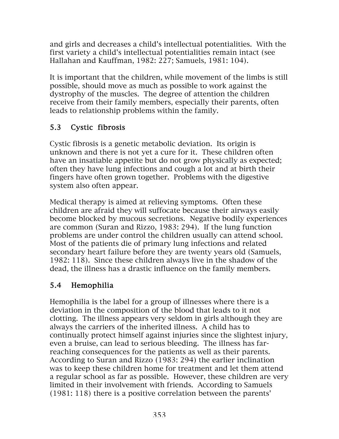and girls and decreases a child's intellectual potentialities. With the first variety a child's intellectual potentialities remain intact (see Hallahan and Kauffman, 1982: 227; Samuels, 1981: 104).

It is important that the children, while movement of the limbs is still possible, should move as much as possible to work against the dystrophy of the muscles. The degree of attention the children receive from their family members, especially their parents, often leads to relationship problems within the family.

## 5.3 Cystic fibrosis

Cystic fibrosis is a genetic metabolic deviation. Its origin is unknown and there is not yet a cure for it. These children often have an insatiable appetite but do not grow physically as expected; often they have lung infections and cough a lot and at birth their fingers have often grown together. Problems with the digestive system also often appear.

Medical therapy is aimed at relieving symptoms. Often these children are afraid they will suffocate because their airways easily become blocked by mucous secretions. Negative bodily experiences are common (Suran and Rizzo, 1983: 294). If the lung function problems are under control the children usually can attend school. Most of the patients die of primary lung infections and related secondary heart failure before they are twenty years old (Samuels, 1982: 118). Since these children always live in the shadow of the dead, the illness has a drastic influence on the family members.

## 5.4 Hemophilia

Hemophilia is the label for a group of illnesses where there is a deviation in the composition of the blood that leads to it not clotting. The illness appears very seldom in girls although they are always the carriers of the inherited illness. A child has to continually protect himself against injuries since the slightest injury, even a bruise, can lead to serious bleeding. The illness has farreaching consequences for the patients as well as their parents. According to Suran and Rizzo (1983: 294) the earlier inclination was to keep these children home for treatment and let them attend a regular school as far as possible. However, these children are very limited in their involvement with friends. According to Samuels (1981: 118) there is a positive correlation between the parents'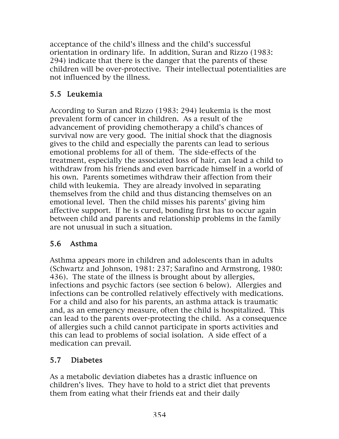acceptance of the child's illness and the child's successful orientation in ordinary life. In addition, Suran and Rizzo (1983: 294) indicate that there is the danger that the parents of these children will be over-protective. Their intellectual potentialities are not influenced by the illness.

# 5.5 Leukemia

According to Suran and Rizzo (1983: 294) leukemia is the most prevalent form of cancer in children. As a result of the advancement of providing chemotherapy a child's chances of survival now are very good. The initial shock that the diagnosis gives to the child and especially the parents can lead to serious emotional problems for all of them. The side-effects of the treatment, especially the associated loss of hair, can lead a child to withdraw from his friends and even barricade himself in a world of his own. Parents sometimes withdraw their affection from their child with leukemia. They are already involved in separating themselves from the child and thus distancing themselves on an emotional level. Then the child misses his parents' giving him affective support. If he is cured, bonding first has to occur again between child and parents and relationship problems in the family are not unusual in such a situation.

## 5.6 Asthma

Asthma appears more in children and adolescents than in adults (Schwartz and Johnson, 1981: 237; Sarafino and Armstrong, 1980: 436). The state of the illness is brought about by allergies, infections and psychic factors (see section 6 below). Allergies and infections can be controlled relatively effectively with medications. For a child and also for his parents, an asthma attack is traumatic and, as an emergency measure, often the child is hospitalized. This can lead to the parents over-protecting the child. As a consequence of allergies such a child cannot participate in sports activities and this can lead to problems of social isolation. A side effect of a medication can prevail.

## 5.7 Diabetes

As a metabolic deviation diabetes has a drastic influence on children's lives. They have to hold to a strict diet that prevents them from eating what their friends eat and their daily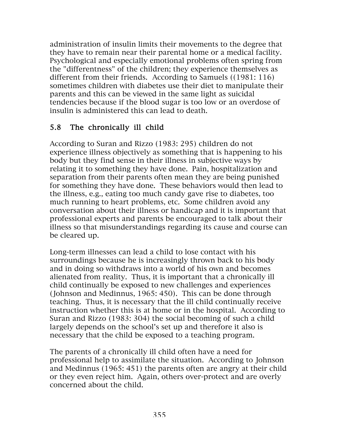administration of insulin limits their movements to the degree that they have to remain near their parental home or a medical facility. Psychological and especially emotional problems often spring from the "differentness" of the children; they experience themselves as different from their friends. According to Samuels ((1981: 116) sometimes children with diabetes use their diet to manipulate their parents and this can be viewed in the same light as suicidal tendencies because if the blood sugar is too low or an overdose of insulin is administered this can lead to death.

#### 5.8 The chronically ill child

According to Suran and Rizzo (1983: 295) children do not experience illness objectively as something that is happening to his body but they find sense in their illness in subjective ways by relating it to something they have done. Pain, hospitalization and separation from their parents often mean they are being punished for something they have done. These behaviors would then lead to the illness, e.g., eating too much candy gave rise to diabetes, too much running to heart problems, etc. Some children avoid any conversation about their illness or handicap and it is important that professional experts and parents be encouraged to talk about their illness so that misunderstandings regarding its cause and course can be cleared up.

Long-term illnesses can lead a child to lose contact with his surroundings because he is increasingly thrown back to his body and in doing so withdraws into a world of his own and becomes alienated from reality. Thus, it is important that a chronically ill child continually be exposed to new challenges and experiences (Johnson and Medinnus, 1965: 450). This can be done through teaching. Thus, it is necessary that the ill child continually receive instruction whether this is at home or in the hospital. According to Suran and Rizzo (1983: 304) the social becoming of such a child largely depends on the school's set up and therefore it also is necessary that the child be exposed to a teaching program.

The parents of a chronically ill child often have a need for professional help to assimilate the situation. According to Johnson and Medinnus (1965: 451) the parents often are angry at their child or they even reject him. Again, others over-protect and are overly concerned about the child.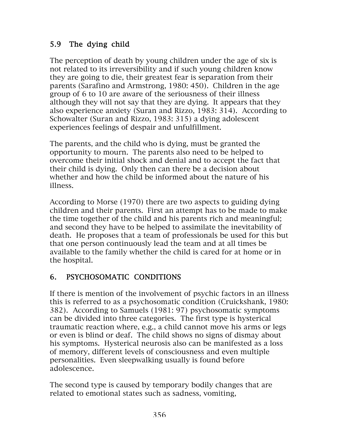## 5.9 The dying child

The perception of death by young children under the age of six is not related to its irreversibility and if such young children know they are going to die, their greatest fear is separation from their parents (Sarafino and Armstrong, 1980: 450). Children in the age group of 6 to 10 are aware of the seriousness of their illness although they will not say that they are dying. It appears that they also experience anxiety (Suran and Rizzo, 1983: 314). According to Schowalter (Suran and Rizzo, 1983: 315) a dying adolescent experiences feelings of despair and unfulfillment.

The parents, and the child who is dying, must be granted the opportunity to mourn. The parents also need to be helped to overcome their initial shock and denial and to accept the fact that their child is dying. Only then can there be a decision about whether and how the child be informed about the nature of his illness.

According to Morse (1970) there are two aspects to guiding dying children and their parents. First an attempt has to be made to make the time together of the child and his parents rich and meaningful; and second they have to be helped to assimilate the inevitability of death. He proposes that a team of professionals be used for this but that one person continuously lead the team and at all times be available to the family whether the child is cared for at home or in the hospital.

# 6. PSYCHOSOMATIC CONDITIONS

If there is mention of the involvement of psychic factors in an illness this is referred to as a psychosomatic condition (Cruickshank, 1980: 382). According to Samuels (1981: 97) psychosomatic symptoms can be divided into three categories. The first type is hysterical traumatic reaction where, e.g., a child cannot move his arms or legs or even is blind or deaf. The child shows no signs of dismay about his symptoms. Hysterical neurosis also can be manifested as a loss of memory, different levels of consciousness and even multiple personalities. Even sleepwalking usually is found before adolescence.

The second type is caused by temporary bodily changes that are related to emotional states such as sadness, vomiting,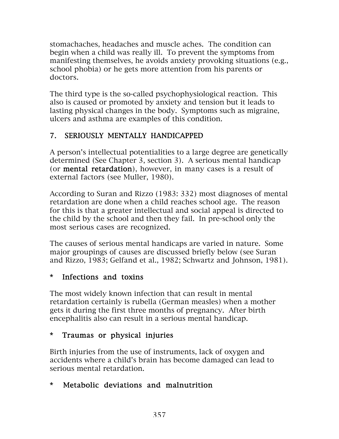stomachaches, headaches and muscle aches. The condition can begin when a child was really ill. To prevent the symptoms from manifesting themselves, he avoids anxiety provoking situations (e.g., school phobia) or he gets more attention from his parents or doctors.

The third type is the so-called psychophysiological reaction. This also is caused or promoted by anxiety and tension but it leads to lasting physical changes in the body. Symptoms such as migraine, ulcers and asthma are examples of this condition.

## 7. SERIOUSLY MENTALLY HANDICAPPED

A person's intellectual potentialities to a large degree are genetically determined (See Chapter 3, section 3). A serious mental handicap (or mental retardation), however, in many cases is a result of external factors (see Muller, 1980).

According to Suran and Rizzo (1983: 332) most diagnoses of mental retardation are done when a child reaches school age. The reason for this is that a greater intellectual and social appeal is directed to the child by the school and then they fail. In pre-school only the most serious cases are recognized.

The causes of serious mental handicaps are varied in nature. Some major groupings of causes are discussed briefly below (see Suran and Rizzo, 1983; Gelfand et al., 1982; Schwartz and Johnson, 1981).

## \* Infections and toxins

The most widely known infection that can result in mental retardation certainly is rubella (German measles) when a mother gets it during the first three months of pregnancy. After birth encephalitis also can result in a serious mental handicap.

## \* Traumas or physical injuries

Birth injuries from the use of instruments, lack of oxygen and accidents where a child's brain has become damaged can lead to serious mental retardation.

## \* Metabolic deviations and malnutrition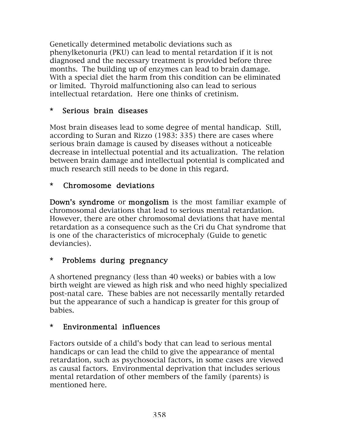Genetically determined metabolic deviations such as phenylketonuria (PKU) can lead to mental retardation if it is not diagnosed and the necessary treatment is provided before three months. The building up of enzymes can lead to brain damage. With a special diet the harm from this condition can be eliminated or limited. Thyroid malfunctioning also can lead to serious intellectual retardation. Here one thinks of cretinism.

#### \* Serious brain diseases

Most brain diseases lead to some degree of mental handicap. Still, according to Suran and Rizzo (1983: 335) there are cases where serious brain damage is caused by diseases without a noticeable decrease in intellectual potential and its actualization. The relation between brain damage and intellectual potential is complicated and much research still needs to be done in this regard.

#### \* Chromosome deviations

Down's syndrome or mongolism is the most familiar example of chromosomal deviations that lead to serious mental retardation. However, there are other chromosomal deviations that have mental retardation as a consequence such as the Cri du Chat syndrome that is one of the characteristics of microcephaly (Guide to genetic deviancies).

## \* Problems during pregnancy

A shortened pregnancy (less than 40 weeks) or babies with a low birth weight are viewed as high risk and who need highly specialized post-natal care. These babies are not necessarily mentally retarded but the appearance of such a handicap is greater for this group of babies.

#### \* Environmental influences

Factors outside of a child's body that can lead to serious mental handicaps or can lead the child to give the appearance of mental retardation, such as psychosocial factors, in some cases are viewed as causal factors. Environmental deprivation that includes serious mental retardation of other members of the family (parents) is mentioned here.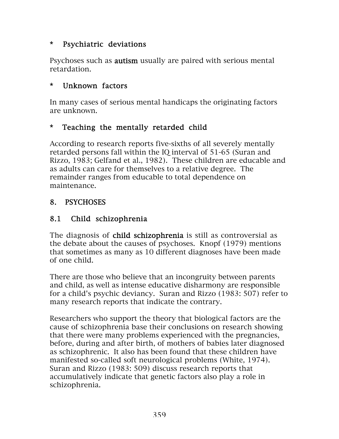#### \* Psychiatric deviations

Psychoses such as **autism** usually are paired with serious mental retardation.

#### \* Unknown factors

In many cases of serious mental handicaps the originating factors are unknown.

#### \* Teaching the mentally retarded child

According to research reports five-sixths of all severely mentally retarded persons fall within the IQ interval of 51-65 (Suran and Rizzo, 1983; Gelfand et al., 1982). These children are educable and as adults can care for themselves to a relative degree. The remainder ranges from educable to total dependence on maintenance.

#### 8. PSYCHOSES

#### 8.1 Child schizophrenia

The diagnosis of child schizophrenia is still as controversial as the debate about the causes of psychoses. Knopf (1979) mentions that sometimes as many as 10 different diagnoses have been made of one child.

There are those who believe that an incongruity between parents and child, as well as intense educative disharmony are responsible for a child's psychic deviancy. Suran and Rizzo (1983: 507) refer to many research reports that indicate the contrary.

Researchers who support the theory that biological factors are the cause of schizophrenia base their conclusions on research showing that there were many problems experienced with the pregnancies, before, during and after birth, of mothers of babies later diagnosed as schizophrenic. It also has been found that these children have manifested so-called soft neurological problems (White, 1974). Suran and Rizzo (1983: 509) discuss research reports that accumulatively indicate that genetic factors also play a role in schizophrenia.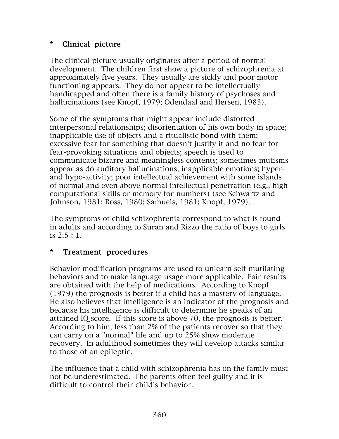## \* Clinical picture

The clinical picture usually originates after a period of normal development. The children first show a picture of schizophrenia at approximately five years. They usually are sickly and poor motor functioning appears. They do not appear to be intellectually handicapped and often there is a family history of psychoses and hallucinations (see Knopf, 1979; Odendaal and Hersen, 1983).

Some of the symptoms that might appear include distorted interpersonal relationships; disorientation of his own body in space; inapplicable use of objects and a ritualistic bond with them; excessive fear for something that doesn't justify it and no fear for fear-provoking situations and objects; speech is used to communicate bizarre and meaningless contents; sometimes mutisms appear as do auditory hallucinations; inapplicable emotions; hyperand hypo-activity; poor intellectual achievement with some islands of normal and even above normal intellectual penetration (e.g., high computational skills or memory for numbers) (see Schwartz and Johnson, 1981; Ross, 1980; Samuels, 1981; Knopf, 1979).

The symptoms of child schizophrenia correspond to what is found in adults and according to Suran and Rizzo the ratio of boys to girls is 2.5 : 1.

## \* Treatment procedures

Behavior modification programs are used to unlearn self-mutilating behaviors and to make language usage more applicable. Fair results are obtained with the help of medications. According to Knopf (1979) the prognosis is better if a child has a mastery of language. He also believes that intelligence is an indicator of the prognosis and because his intelligence is difficult to determine he speaks of an attained IQ score. If this score is above 70, the prognosis is better. According to him, less than 2% of the patients recover so that they can carry on a "normal" life and up to 25% show moderate recovery. In adulthood sometimes they will develop attacks similar to those of an epileptic.

The influence that a child with schizophrenia has on the family must not be underestimated. The parents often feel guilty and it is difficult to control their child's behavior.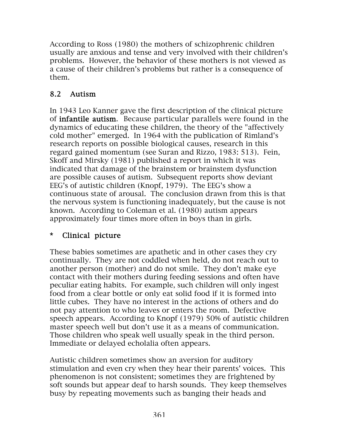According to Ross (1980) the mothers of schizophrenic children usually are anxious and tense and very involved with their children's problems. However, the behavior of these mothers is not viewed as a cause of their children's problems but rather is a consequence of them.

# 8.2 Autism

In 1943 Leo Kanner gave the first description of the clinical picture of infantile autism. Because particular parallels were found in the dynamics of educating these children, the theory of the "affectively cold mother" emerged. In 1964 with the publication of Rimland's research reports on possible biological causes, research in this regard gained momentum (see Suran and Rizzo, 1983: 513). Fein, Skoff and Mirsky (1981) published a report in which it was indicated that damage of the brainstem or brainstem dysfunction are possible causes of autism. Subsequent reports show deviant EEG's of autistic children (Knopf, 1979). The EEG's show a continuous state of arousal. The conclusion drawn from this is that the nervous system is functioning inadequately, but the cause is not known. According to Coleman et al. (1980) autism appears approximately four times more often in boys than in girls.

## \* Clinical picture

These babies sometimes are apathetic and in other cases they cry continually. They are not coddled when held, do not reach out to another person (mother) and do not smile. They don't make eye contact with their mothers during feeding sessions and often have peculiar eating habits. For example, such children will only ingest food from a clear bottle or only eat solid food if it is formed into little cubes. They have no interest in the actions of others and do not pay attention to who leaves or enters the room. Defective speech appears. According to Knopf (1979) 50% of autistic children master speech well but don't use it as a means of communication. Those children who speak well usually speak in the third person. Immediate or delayed echolalia often appears.

Autistic children sometimes show an aversion for auditory stimulation and even cry when they hear their parents' voices. This phenomenon is not consistent; sometimes they are frightened by soft sounds but appear deaf to harsh sounds. They keep themselves busy by repeating movements such as banging their heads and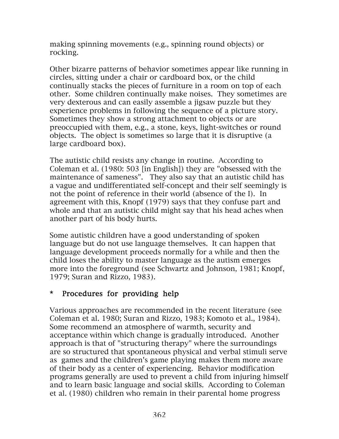making spinning movements (e.g., spinning round objects) or rocking.

Other bizarre patterns of behavior sometimes appear like running in circles, sitting under a chair or cardboard box, or the child continually stacks the pieces of furniture in a room on top of each other. Some children continually make noises. They sometimes are very dexterous and can easily assemble a jigsaw puzzle but they experience problems in following the sequence of a picture story. Sometimes they show a strong attachment to objects or are preoccupied with them, e.g., a stone, keys, light-switches or round objects. The object is sometimes so large that it is disruptive (a large cardboard box).

The autistic child resists any change in routine. According to Coleman et al. (1980: 503 [in English]) they are "obsessed with the maintenance of sameness". They also say that an autistic child has a vague and undifferentiated self-concept and their self seemingly is not the point of reference in their world (absence of the I). In agreement with this, Knopf (1979) says that they confuse part and whole and that an autistic child might say that his head aches when another part of his body hurts.

Some autistic children have a good understanding of spoken language but do not use language themselves. It can happen that language development proceeds normally for a while and then the child loses the ability to master language as the autism emerges more into the foreground (see Schwartz and Johnson, 1981; Knopf, 1979; Suran and Rizzo, 1983).

## \* Procedures for providing help

Various approaches are recommended in the recent literature (see Coleman et al. 1980; Suran and Rizzo, 1983; Komoto et al., 1984). Some recommend an atmosphere of warmth, security and acceptance within which change is gradually introduced. Another approach is that of "structuring therapy" where the surroundings are so structured that spontaneous physical and verbal stimuli serve as games and the children's game playing makes them more aware of their body as a center of experiencing. Behavior modification programs generally are used to prevent a child from injuring himself and to learn basic language and social skills. According to Coleman et al. (1980) children who remain in their parental home progress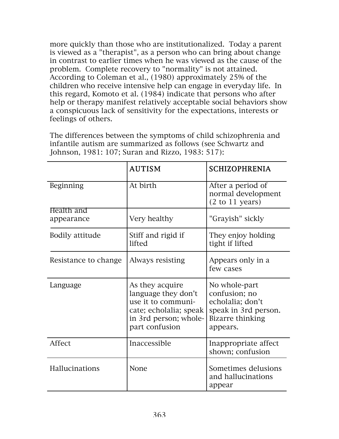more quickly than those who are institutionalized. Today a parent is viewed as a "therapist", as a person who can bring about change in contrast to earlier times when he was viewed as the cause of the problem. Complete recovery to "normality" is not attained. According to Coleman et al., (1980) approximately 25% of the children who receive intensive help can engage in everyday life. In this regard, Komoto et al. (1984) indicate that persons who after help or therapy manifest relatively acceptable social behaviors show a conspicuous lack of sensitivity for the expectations, interests or feelings of others.

infantile autism are summarized as follows (see Schwartz and Johnson, 1981: 107; Suran and Rizzo, 1983: 517): AUTISM SCHIZOPHRENIA

The differences between the symptoms of child schizophrenia and

| Beginning            | At birth                                                                                                                          | After a period of<br>normal development<br>$(2 \text{ to } 11 \text{ years})$                              |
|----------------------|-----------------------------------------------------------------------------------------------------------------------------------|------------------------------------------------------------------------------------------------------------|
| Health and           |                                                                                                                                   |                                                                                                            |
| appearance           | Very healthy                                                                                                                      | "Grayish" sickly                                                                                           |
| Bodily attitude      | Stiff and rigid if<br>lifted                                                                                                      | They enjoy holding<br>tight if lifted                                                                      |
| Resistance to change | Always resisting                                                                                                                  | Appears only in a<br>few cases                                                                             |
| Language             | As they acquire<br>language they don't<br>use it to communi-<br>cate; echolalia; speak<br>in 3rd person; whole-<br>part confusion | No whole-part<br>confusion; no<br>echolalia; don't<br>speak in 3rd person.<br>Bizarre thinking<br>appears. |
| Affect               | Inaccessible                                                                                                                      | Inappropriate affect<br>shown; confusion                                                                   |
| Hallucinations       | None                                                                                                                              | Sometimes delusions<br>and hallucinations<br>appear                                                        |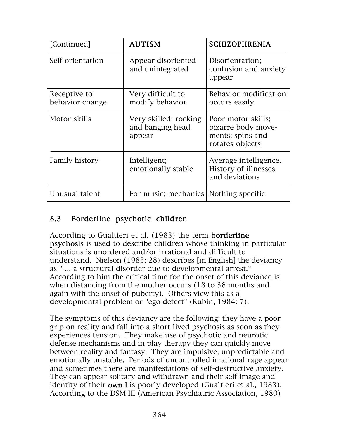| [Continued]                     | AUTISM                                              | <b>SCHIZOPHRENIA</b>                                                            |
|---------------------------------|-----------------------------------------------------|---------------------------------------------------------------------------------|
| Self orientation                | Appear disoriented<br>and unintegrated              | Disorientation;<br>confusion and anxiety<br>appear                              |
| Receptive to<br>behavior change | Very difficult to<br>modify behavior                | Behavior modification<br>occurs easily                                          |
| Motor skills                    | Very skilled; rocking<br>and banging head<br>appear | Poor motor skills;<br>bizarre body move-<br>ments; spins and<br>rotates objects |
| <b>Family history</b>           | Intelligent;<br>emotionally stable                  | Average intelligence.<br>History of illnesses<br>and deviations                 |
| Unusual talent                  | For music; mechanics   Nothing specific             |                                                                                 |

#### 8.3 Borderline psychotic children

According to Gualtieri et al. (1983) the term **borderline** psychosis is used to describe children whose thinking in particular situations is unordered and/or irrational and difficult to understand. Nielson (1983: 28) describes [in English] the deviancy as " ... a structural disorder due to developmental arrest." According to him the critical time for the onset of this deviance is when distancing from the mother occurs (18 to 36 months and again with the onset of puberty). Others view this as a developmental problem or "ego defect" (Rubin, 1984: 7).

The symptoms of this deviancy are the following: they have a poor grip on reality and fall into a short-lived psychosis as soon as they experiences tension. They make use of psychotic and neurotic defense mechanisms and in play therapy they can quickly move between reality and fantasy. They are impulsive, unpredictable and emotionally unstable. Periods of uncontrolled irrational rage appear and sometimes there are manifestations of self-destructive anxiety. They can appear solitary and withdrawn and their self-image and identity of their **own I** is poorly developed (Gualtieri et al., 1983). According to the DSM III (American Psychiatric Association, 1980)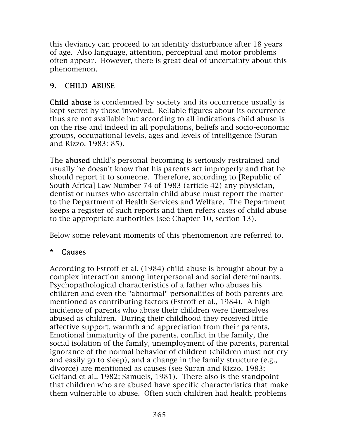this deviancy can proceed to an identity disturbance after 18 years of age. Also language, attention, perceptual and motor problems often appear. However, there is great deal of uncertainty about this phenomenon.

# 9. CHILD ABUSE

Child abuse is condemned by society and its occurrence usually is kept secret by those involved. Reliable figures about its occurrence thus are not available but according to all indications child abuse is on the rise and indeed in all populations, beliefs and socio-economic groups, occupational levels, ages and levels of intelligence (Suran and Rizzo, 1983: 85).

The abused child's personal becoming is seriously restrained and usually he doesn't know that his parents act improperly and that he should report it to someone. Therefore, according to [Republic of South Africa] Law Number 74 of 1983 (article 42) any physician, dentist or nurses who ascertain child abuse must report the matter to the Department of Health Services and Welfare. The Department keeps a register of such reports and then refers cases of child abuse to the appropriate authorities (see Chapter 10, section 13).

Below some relevant moments of this phenomenon are referred to.

#### \* Causes

According to Estroff et al. (1984) child abuse is brought about by a complex interaction among interpersonal and social determinants. Psychopathological characteristics of a father who abuses his children and even the "abnormal" personalities of both parents are mentioned as contributing factors (Estroff et al., 1984). A high incidence of parents who abuse their children were themselves abused as children. During their childhood they received little affective support, warmth and appreciation from their parents. Emotional immaturity of the parents, conflict in the family, the social isolation of the family, unemployment of the parents, parental ignorance of the normal behavior of children (children must not cry and easily go to sleep), and a change in the family structure (e.g., divorce) are mentioned as causes (see Suran and Rizzo, 1983; Gelfand et al., 1982; Samuels, 1981). There also is the standpoint that children who are abused have specific characteristics that make them vulnerable to abuse. Often such children had health problems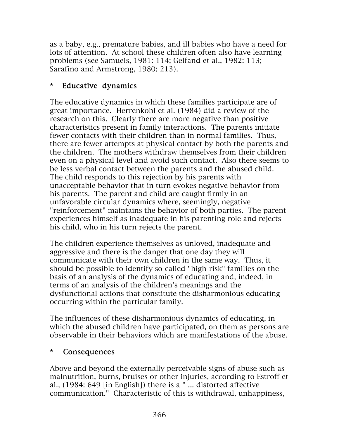as a baby, e.g., premature babies, and ill babies who have a need for lots of attention. At school these children often also have learning problems (see Samuels, 1981: 114; Gelfand et al., 1982: 113; Sarafino and Armstrong, 1980: 213).

## \* Educative dynamics

The educative dynamics in which these families participate are of great importance. Herrenkohl et al. (1984) did a review of the research on this. Clearly there are more negative than positive characteristics present in family interactions. The parents initiate fewer contacts with their children than in normal families. Thus, there are fewer attempts at physical contact by both the parents and the children. The mothers withdraw themselves from their children even on a physical level and avoid such contact. Also there seems to be less verbal contact between the parents and the abused child. The child responds to this rejection by his parents with unacceptable behavior that in turn evokes negative behavior from his parents. The parent and child are caught firmly in an unfavorable circular dynamics where, seemingly, negative "reinforcement" maintains the behavior of both parties. The parent experiences himself as inadequate in his parenting role and rejects his child, who in his turn rejects the parent.

The children experience themselves as unloved, inadequate and aggressive and there is the danger that one day they will communicate with their own children in the same way. Thus, it should be possible to identify so-called "high-risk" families on the basis of an analysis of the dynamics of educating and, indeed, in terms of an analysis of the children's meanings and the dysfunctional actions that constitute the disharmonious educating occurring within the particular family.

The influences of these disharmonious dynamics of educating, in which the abused children have participated, on them as persons are observable in their behaviors which are manifestations of the abuse.

#### \* Consequences

Above and beyond the externally perceivable signs of abuse such as malnutrition, burns, bruises or other injuries, according to Estroff et al., (1984: 649 [in English]) there is a " ... distorted affective communication." Characteristic of this is withdrawal, unhappiness,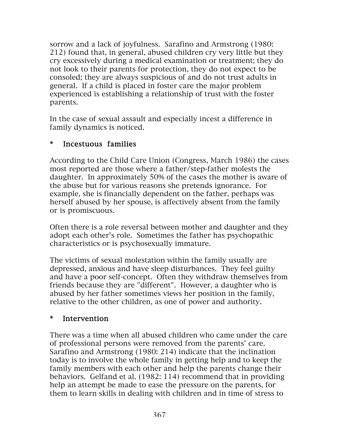sorrow and a lack of joyfulness. Sarafino and Armstrong (1980: 212) found that, in general, abused children cry very little but they cry excessively during a medical examination or treatment; they do not look to their parents for protection, they do not expect to be consoled; they are always suspicious of and do not trust adults in general. If a child is placed in foster care the major problem experienced is establishing a relationship of trust with the foster parents.

In the case of sexual assault and especially incest a difference in family dynamics is noticed.

#### \* Incestuous families

According to the Child Care Union (Congress, March 1986) the cases most reported are those where a father/step-father molests the daughter. In approximately 50% of the cases the mother is aware of the abuse but for various reasons she pretends ignorance. For example, she is financially dependent on the father, perhaps was herself abused by her spouse, is affectively absent from the family or is promiscuous.

Often there is a role reversal between mother and daughter and they adopt each other's role. Sometimes the father has psychopathic characteristics or is psychosexually immature.

The victims of sexual molestation within the family usually are depressed, anxious and have sleep disturbances. They feel guilty and have a poor self-concept. Often they withdraw themselves from friends because they are "different". However, a daughter who is abused by her father sometimes views her position in the family, relative to the other children, as one of power and authority.

#### \* Intervention

There was a time when all abused children who came under the care of professional persons were removed from the parents' care. Sarafino and Armstrong (1980: 214) indicate that the inclination today is to involve the whole family in getting help and to keep the family members with each other and help the parents change their behaviors. Gelfand et al. (1982: 114) recommend that in providing help an attempt be made to ease the pressure on the parents, for them to learn skills in dealing with children and in time of stress to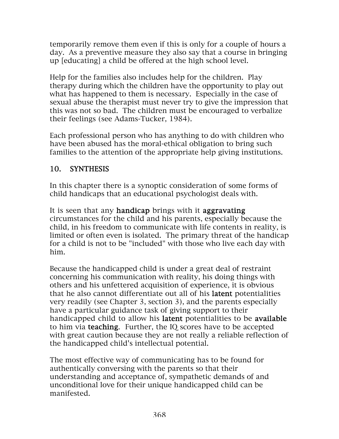temporarily remove them even if this is only for a couple of hours a day. As a preventive measure they also say that a course in bringing up [educating] a child be offered at the high school level.

Help for the families also includes help for the children. Play therapy during which the children have the opportunity to play out what has happened to them is necessary. Especially in the case of sexual abuse the therapist must never try to give the impression that this was not so bad. The children must be encouraged to verbalize their feelings (see Adams-Tucker, 1984).

Each professional person who has anything to do with children who have been abused has the moral-ethical obligation to bring such families to the attention of the appropriate help giving institutions.

# 10. SYNTHESIS

In this chapter there is a synoptic consideration of some forms of child handicaps that an educational psychologist deals with.

It is seen that any **handicap** brings with it **aggravating** circumstances for the child and his parents, especially because the child, in his freedom to communicate with life contents in reality, is limited or often even is isolated. The primary threat of the handicap for a child is not to be "included" with those who live each day with him.

Because the handicapped child is under a great deal of restraint concerning his communication with reality, his doing things with others and his unfettered acquisition of experience, it is obvious that he also cannot differentiate out all of his latent potentialities very readily (see Chapter 3, section 3), and the parents especially have a particular guidance task of giving support to their handicapped child to allow his latent potentialities to be available to him via teaching. Further, the IQ scores have to be accepted with great caution because they are not really a reliable reflection of the handicapped child's intellectual potential.

The most effective way of communicating has to be found for authentically conversing with the parents so that their understanding and acceptance of, sympathetic demands of and unconditional love for their unique handicapped child can be manifested.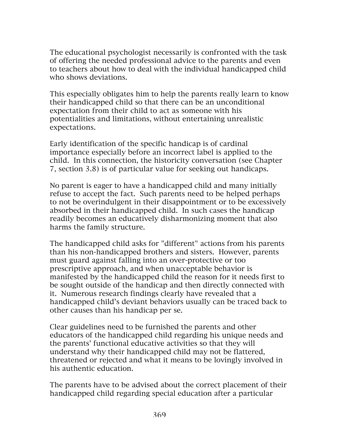The educational psychologist necessarily is confronted with the task of offering the needed professional advice to the parents and even to teachers about how to deal with the individual handicapped child who shows deviations.

This especially obligates him to help the parents really learn to know their handicapped child so that there can be an unconditional expectation from their child to act as someone with his potentialities and limitations, without entertaining unrealistic expectations.

Early identification of the specific handicap is of cardinal importance especially before an incorrect label is applied to the child. In this connection, the historicity conversation (see Chapter 7, section 3.8) is of particular value for seeking out handicaps.

No parent is eager to have a handicapped child and many initially refuse to accept the fact. Such parents need to be helped perhaps to not be overindulgent in their disappointment or to be excessively absorbed in their handicapped child. In such cases the handicap readily becomes an educatively disharmonizing moment that also harms the family structure.

The handicapped child asks for "different" actions from his parents than his non-handicapped brothers and sisters. However, parents must guard against falling into an over-protective or too prescriptive approach, and when unacceptable behavior is manifested by the handicapped child the reason for it needs first to be sought outside of the handicap and then directly connected with it. Numerous research findings clearly have revealed that a handicapped child's deviant behaviors usually can be traced back to other causes than his handicap per se.

Clear guidelines need to be furnished the parents and other educators of the handicapped child regarding his unique needs and the parents' functional educative activities so that they will understand why their handicapped child may not be flattered, threatened or rejected and what it means to be lovingly involved in his authentic education.

The parents have to be advised about the correct placement of their handicapped child regarding special education after a particular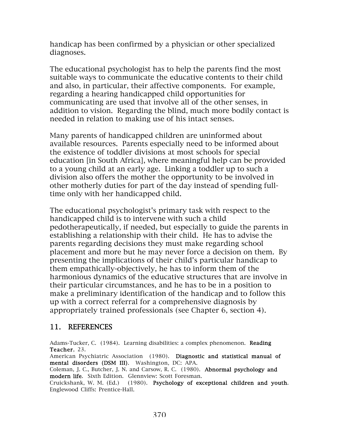handicap has been confirmed by a physician or other specialized diagnoses.

The educational psychologist has to help the parents find the most suitable ways to communicate the educative contents to their child and also, in particular, their affective components. For example, regarding a hearing handicapped child opportunities for communicating are used that involve all of the other senses, in addition to vision. Regarding the blind, much more bodily contact is needed in relation to making use of his intact senses.

Many parents of handicapped children are uninformed about available resources. Parents especially need to be informed about the existence of toddler divisions at most schools for special education [in South Africa], where meaningful help can be provided to a young child at an early age. Linking a toddler up to such a division also offers the mother the opportunity to be involved in other motherly duties for part of the day instead of spending fulltime only with her handicapped child.

The educational psychologist's primary task with respect to the handicapped child is to intervene with such a child pedotherapeutically, if needed, but especially to guide the parents in establishing a relationship with their child. He has to advise the parents regarding decisions they must make regarding school placement and more but he may never force a decision on them. By presenting the implications of their child's particular handicap to them empathically-objectively, he has to inform them of the harmonious dynamics of the educative structures that are involve in their particular circumstances, and he has to be in a position to make a preliminary identification of the handicap and to follow this up with a correct referral for a comprehensive diagnosis by appropriately trained professionals (see Chapter 6, section 4).

#### 11. REFERENCES

Adams-Tucker, C. (1984). Learning disabilities: a complex phenomenon. **Reading** Teacher, 23.

American Psychiatric Association (1980). Diagnostic and statistical manual of mental disorders (DSM III). Washington, DC: APA.

Coleman, J. C., Butcher, J. N. and Carsow, R. C. (1980). Abnormal psychology and modern life. Sixth Edition. Glennview: Scott Foresman.

Cruickshank, W. M. (Ed.) (1980). Psychology of exceptional children and youth. Englewood Cliffs: Prentice-Hall.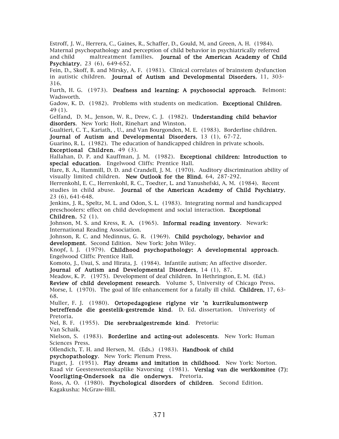Estroff, J. W., Herrera, C., Gaines, R., Schaffer, D., Gould, M, and Green, A. H. (1984). Maternal psychopathology and perception of child behavior in psychiatrically referred and child maltreatment families. Journal of the American Academy of Child Psychiatry, 23 (6), 649-652.

Fein, D., Skoff, B. and Mirsky, A. F. (1981). Clinical correlates of brainstem dysfunction in autistic children. Journal of Autism and Developmental Disorders, 11, 303- 316.

Furth, H. G. (1973). Deafness and learning: A psychosocial approach. Belmont: Wadsworth.

Gadow, K. D. (1982). Problems with students on medication. Exceptional Children, 49 (1).

Gelfand, D. M., Jenson, W. R., Drew, C. J. (1982). **Understanding child behavior** disorders. New York: Holt, Rinehart and Winston.

Gualtieri, C. T., Kariath, , U., and Van Bourgonden, M. E. (1983). Borderline children. Journal of Autism and Developmental Disorders, 13 (1), 67-72.

Guarino, R. L. (1982). The education of handicapped children in private schools. Exceptional Children, 49 (3).

Hallahan, D. P. and Kauffman, J. M. (1982). Exceptional children: Introduction to special education. Engelwood Cliffs: Prentice Hall.

Hare, B. A., Hammill, D. D. and Crandell, J. M. (1970). Auditory discrimination ability of visually limited children. New Outlook for the Blind, 64, 287-292.

Herrenkohl, E. C., Herrenkohl, R. C., Toedter, L. and Yanushefski, A. M. (1984). Recent studies in child abuse. Journal of the American Academy of Child Psychiatry, 23 (6), 641-648.

Jenkins, J. R., Speltz, M. L. and Odon, S. L. (1983). Integrating normal and handicapped preschoolers: effect on child development and social interaction. Exceptional Children, 52 (1).

Johnson, M. S. and Kress, R. A. (1965). Informal reading inventory. Newark: International Reading Association.

Johnson, R. C. and Medinnus, G. R. (1969). Child psychology, behavior and development. Second Edition. New York: John Wiley.

Knopf, I. J. (1979). Childhood psychopathology: A developmental approach. Engelwood Cliffs: Prentice Hall.

Komoto, J., Usui, S. and Hirata, J. (1984). Infantile autism; An affective disorder.

Journal of Autism and Developmental Disorders, 14 (1), 87.

Meadow, K. P. (1975). Development of deaf children. In Hethrington, E. M. (Ed.) Review of child development research. Volume 5, University of Chicago Press. Morse, I. (1970). The goal of life enhancement for a fatally ill child. **Children**, 17, 63-68.

Muller, F. J. (1980). Ortopedagogiese riglyne vir 'n kurrikulumontwerp betreffende die geestelik-gestremde kind. D. Ed. dissertation. Univeristy of Pretoria.

Nel, B. F. (1955). Die serebraalgestremde kind. Pretoria:

Van Schaik.

Nielson, S. (1983). Borderline and acting-out adolescents. New York: Human Sciences Press.

Ollendich, T. H. and Hersen, M. (Eds.) (1983). Handbook of child psychopathology. New York: Plenum Press.

Piaget, J. (1951). Play dreams and imitation in childhood. New York: Norton. Raad vir Geesteswetenskaplike Navorsing (1981). Verslag van die werkkomitee (7): Voorligting-Ondersoek na die onderwys. Pretoria.

Ross, A. O. (1980). Psychological disorders of children. Second Edition. Kagakusha: McGraw-Hill.